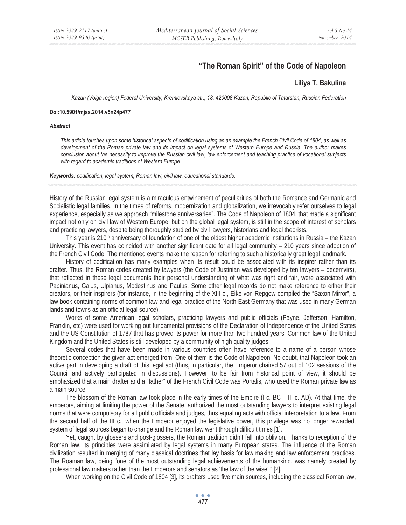# **"The Roman Spirit" of the Code of Napoleon**

## **Liliya T. Bakulina**

*Kazan (Volga region) Federal University, Kremlevskaya str., 18, 420008 Kazan, Republic of Tatarstan, Russian Federation* 

#### **Doi:10.5901/mjss.2014.v5n24p477**

#### *Abstract*

*This article touches upon some historical aspects of codification using as an example the French Civil Code of 1804, as well as development of the Roman private law and its impact on legal systems of Western Europe and Russia. The author makes conclusion about the necessity to improve the Russian civil law, law enforcement and teaching practice of vocational subjects with regard to academic traditions of Western Europe.* 

*Keywords: codification, legal system, Roman law, civil law, educational standards.*

History of the Russian legal system is a miraculous entwinement of peculiarities of both the Romance and Germanic and Socialistic legal families. In the times of reforms, modernization and globalization, we irrevocably refer ourselves to legal experience, especially as we approach "milestone anniversaries". The Code of Napoleon of 1804, that made a significant impact not only on civil law of Western Europe, but on the global legal system, is still in the scope of interest of scholars and practicing lawyers, despite being thoroughly studied by civil lawyers, historians and legal theorists.

This year is 210<sup>th</sup> anniversary of foundation of one of the oldest higher academic institutions in Russia – the Kazan University. This event has coincided with another significant date for all legal community – 210 years since adoption of the French Civil Code. The mentioned events make the reason for referring to such a historically great legal landmark.

History of codification has many examples when its result could be associated with its inspirer rather than its drafter. Thus, the Roman codes created by lawyers (the Code of Justinian was developed by ten lawyers – decemvirs), that reflected in these legal documents their personal understanding of what was right and fair, were associated with Papinianus, Gaius, Ulpianus, Modestinus and Paulus. Some other legal records do not make reference to either their creators, or their inspirers (for instance, in the beginning of the XIII c., Eike von Repgow compiled the "Saxon Mirror", a law book containing norms of common law and legal practice of the North-East Germany that was used in many German lands and towns as an official legal source).

Works of some American legal scholars, practicing lawyers and public officials (Payne, Jefferson, Hamilton, Franklin, etc) were used for working out fundamental provisions of the Declaration of Independence of the United States and the US Constitution of 1787 that has proved its power for more than two hundred years. Common law of the United Kingdom and the United States is still developed by a community of high quality judges.

Several codes that have been made in various countries often have reference to a name of a person whose theoretic conception the given act emerged from. One of them is the Code of Napoleon. No doubt, that Napoleon took an active part in developing a draft of this legal act (thus, in particular, the Emperor chaired 57 out of 102 sessions of the Council and actively participated in discussions). However, to be fair from historical point of view, it should be emphasized that a main drafter and a "father" of the French Civil Code was Portalis, who used the Roman private law as a main source.

The blossom of the Roman law took place in the early times of the Empire (I c. BC – III c. AD). At that time, the emperors, aiming at limiting the power of the Senate, authorized the most outstanding lawyers to interpret existing legal norms that were compulsory for all public officials and judges, thus equaling acts with official interpretation to a law. From the second half of the III c., when the Emperor enjoyed the legislative power, this privilege was no longer rewarded, system of legal sources began to change and the Roman law went through difficult times [1].

Yet, caught by glossers and post-glossers, the Roman tradition didn't fall into oblivion. Thanks to reception of the Roman law, its principles were assimilated by legal systems in many European states. The influence of the Roman civilization resulted in merging of many classical doctrines that lay basis for law making and law enforcement practices. The Roaman law, being "one of the most outstanding legal achievements of the humankind, was namely created by professional law makers rather than the Emperors and senators as 'the law of the wise' " [2].

When working on the Civil Code of 1804 [3], its drafters used five main sources, including the classical Roman law,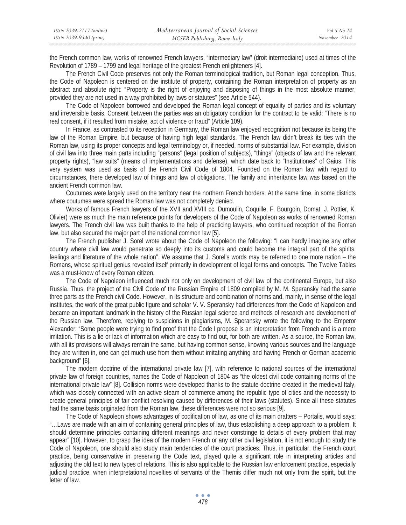| ISSN 2039-2117 (online) | Mediterranean Journal of Social Sciences | Vol 5 No 24   |
|-------------------------|------------------------------------------|---------------|
| ISSN 2039-9340 (print)  | MCSER Publishing, Rome-Italy             | November 2014 |

the French common law, works of renowned French lawyers, "intermediary law" (droit intermediaire) used at times of the Revolution of 1789 – 1799 and legal heritage of the greatest French enlighteners [4].

The French Civil Code preserves not only the Roman terminological tradition, but Roman legal conception. Thus, the Code of Napoleon is centered on the institute of property, containing the Roman interpretation of property as an abstract and absolute right: "Property is the right of enjoying and disposing of things in the most absolute manner, provided they are not used in a way prohibited by laws or statutes" (see Article 544).

The Code of Napoleon borrowed and developed the Roman legal concept of equality of parties and its voluntary and irreversible basis. Consent between the parties was an obligatory condition for the contract to be valid: "There is no real consent, if it resulted from mistake, act of violence or fraud" (Article 109).

In France, as contrasted to its reception in Germany, the Roman law enjoyed recognition not because its being the law of the Roman Empire, but because of having high legal standards. The French law didn't break its ties with the Roman law, using its proper concepts and legal terminology or, if needed, norms of substantial law. For example, division of civil law into three main parts including "persons" (legal position of subjects), "things" (objects of law and the relevant property rights), "law suits" (means of implementations and defense), which date back to "Institutiones" of Gaius. This very system was used as basis of the French Civil Code of 1804. Founded on the Roman law with regard to circumstances, there developed law of things and law of obligations. The family and inheritance law was based on the ancient French common law.

Coutumes were largely used on the territory near the northern French borders. At the same time, in some districts where coutumes were spread the Roman law was not completely denied.

Works of famous French lawyers of the XVII and XVIII cc. Dumoulin, Coquille, F. Bourgoin, Domat, J. Pottier, K. Olivier) were as much the main reference points for developers of the Code of Napoleon as works of renowned Roman lawyers. The French civil law was built thanks to the help of practicing lawyers, who continued reception of the Roman law, but also secured the major part of the national common law [5].

The French publisher J. Sorel wrote about the Code of Napoleon the following: "I can hardly imagine any other country where civil law would penetrate so deeply into its customs and could become the integral part of the spirits, feelings and literature of the whole nation". We assume that J. Sorel's words may be referred to one more nation – the Romans, whose spiritual genius revealed itself primarily in development of legal forms and concepts. The Twelve Tables was a must-know of every Roman citizen.

The Code of Napoleon influenced much not only on development of civil law of the continental Europe, but also Russia. Thus, the project of the Civil Code of the Russian Empire of 1809 compiled by M. M. Speransky had the same three parts as the French civil Code. However, in its structure and combination of norms and, mainly, in sense of the legal institutes, the work of the great public figure and scholar V. V. Speransky had differences from the Code of Napoleon and became an important landmark in the history of the Russian legal science and methods of research and development of the Russian law. Therefore, replying to suspicions in plagiarisms, M. Speransky wrote the following to the Emperor Alexander: "Some people were trying to find proof that the Code I propose is an interpretation from French and is a mere imitation. This is a lie or lack of information which are easy to find out, for both are written. As a source, the Roman law, with all its provisions will always remain the same, but having common sense, knowing various sources and the language they are written in, one can get much use from them without imitating anything and having French or German academic background" [6].

The modern doctrine of the international private law [7], with reference to national sources of the international private law of foreign countries, names the Code of Napoleon of 1804 as "the oldest civil code containing norms of the international private law" [8]. Collision norms were developed thanks to the statute doctrine created in the medieval Italy, which was closely connected with an active steam of commerce among the republic type of cities and the necessity to create general principles of fair conflict resolving caused by differences of their laws (statutes). Since all these statutes had the same basis originated from the Roman law, these differences were not so serious [9].

The Code of Napoleon shows advantages of codification of law, as one of its main drafters – Portalis, would says: "…Laws are made with an aim of containing general principles of law, thus establishing a deep approach to a problem. It should determine principles containing different meanings and never constringe to details of every problem that may appear" [10]. However, to grasp the idea of the modern French or any other civil legislation, it is not enough to study the Code of Napoleon, one should also study main tendencies of the court practices. Thus, in particular, the French court practice, being conservative in preserving the Code text, played quite a significant role in interpreting articles and adjusting the old text to new types of relations. This is also applicable to the Russian law enforcement practice, especially judicial practice, when interpretational novelties of servants of the Themis differ much not only from the spirit, but the letter of law.